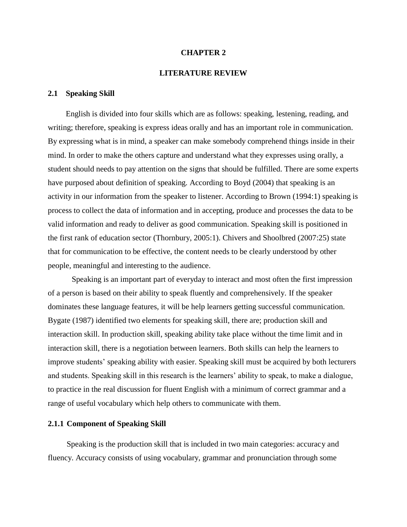### **CHAPTER 2**

# **LITERATURE REVIEW**

## **2.1 Speaking Skill**

English is divided into four skills which are as follows: speaking, lestening, reading, and writing; therefore, speaking is express ideas orally and has an important role in communication. By expressing what is in mind, a speaker can make somebody comprehend things inside in their mind. In order to make the others capture and understand what they expresses using orally, a student should needs to pay attention on the signs that should be fulfilled. There are some experts have purposed about definition of speaking. According to Boyd (2004) that speaking is an activity in our information from the speaker to listener. According to Brown (1994:1) speaking is process to collect the data of information and in accepting, produce and processes the data to be valid information and ready to deliver as good communication. Speaking skill is positioned in the first rank of education sector (Thornbury, 2005:1). Chivers and Shoolbred (2007:25) state that for communication to be effective, the content needs to be clearly understood by other people, meaningful and interesting to the audience.

Speaking is an important part of everyday to interact and most often the first impression of a person is based on their ability to speak fluently and comprehensively. If the speaker dominates these language features, it will be help learners getting successful communication. Bygate (1987) identified two elements for speaking skill, there are; production skill and interaction skill. In production skill, speaking ability take place without the time limit and in interaction skill, there is a negotiation between learners. Both skills can help the learners to improve students' speaking ability with easier. Speaking skill must be acquired by both lecturers and students. Speaking skill in this research is the learners' ability to speak, to make a dialogue, to practice in the real discussion for fluent English with a minimum of correct grammar and a range of useful vocabulary which help others to communicate with them.

# **2.1.1 Component of Speaking Skill**

Speaking is the production skill that is included in two main categories: accuracy and fluency. Accuracy consists of using vocabulary, grammar and pronunciation through some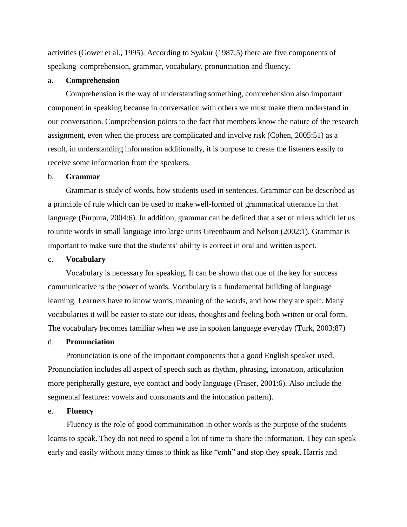activities (Gower et al., 1995). According to Syakur (1987;5) there are five components of speaking comprehension, grammar, vocabulary, pronunciation and fluency.

# a. **Comprehension**

Comprehension is the way of understanding something, comprehension also important component in speaking because in conversation with others we must make them understand in our conversation. Comprehension points to the fact that members know the nature of the research assignment, even when the process are complicated and involve risk (Cohen, 2005:51) as a result, in understanding information additionally, it is purpose to create the listeners easily to receive some information from the speakers.

## b. **Grammar**

Grammar is study of words, how students used in sentences. Grammar can be described as a principle of rule which can be used to make well-formed of grammatical utterance in that language (Purpura, 2004:6). In addition, grammar can be defined that a set of rulers which let us to unite words in small language into large units Greenbaum and Nelson (2002:1). Grammar is important to make sure that the students' ability is correct in oral and written aspect.

#### c. **Vocabulary**

Vocabulary is necessary for speaking. It can be shown that one of the key for success communicative is the power of words. Vocabulary is a fundamental building of language learning. Learners have to know words, meaning of the words, and how they are spelt. Many vocabularies it will be easier to state our ideas, thoughts and feeling both written or oral form. The vocabulary becomes familiar when we use in spoken language everyday (Turk, 2003:87)

# d. **Pronunciation**

Pronunciation is one of the important components that a good English speaker used. Pronunciation includes all aspect of speech such as rhythm, phrasing, intonation, articulation more peripherally gesture, eye contact and body language (Fraser, 2001:6). Also include the segmental features: vowels and consonants and the intonation pattern).

# e. **Fluency**

Fluency is the role of good communication in other words is the purpose of the students learns to speak. They do not need to spend a lot of time to share the information. They can speak early and easily without many times to think as like "emh" and stop they speak. Harris and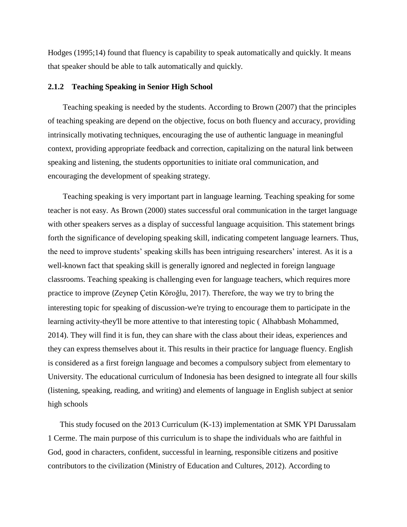Hodges (1995;14) found that fluency is capability to speak automatically and quickly. It means that speaker should be able to talk automatically and quickly.

## **2.1.2 Teaching Speaking in Senior High School**

Teaching speaking is needed by the students. According to Brown (2007) that the principles of teaching speaking are depend on the objective, focus on both fluency and accuracy, providing intrinsically motivating techniques, encouraging the use of authentic language in meaningful context, providing appropriate feedback and correction, capitalizing on the natural link between speaking and listening, the students opportunities to initiate oral communication, and encouraging the development of speaking strategy.

Teaching speaking is very important part in language learning. Teaching speaking for some teacher is not easy. As Brown (2000) states successful oral communication in the target language with other speakers serves as a display of successful language acquisition. This statement brings forth the significance of developing speaking skill, indicating competent language learners. Thus, the need to improve students' speaking skills has been intriguing researchers' interest. As it is a well-known fact that speaking skill is generally ignored and neglected in foreign language classrooms. Teaching speaking is challenging even for language teachers, which requires more practice to improve (Zeynep Çetin Köroğlu, 2017). Therefore, the way we try to bring the interesting topic for speaking of discussion-we're trying to encourage them to participate in the learning activity-they'll be more attentive to that interesting topic ( Alhabbash Mohammed, 2014). They will find it is fun, they can share with the class about their ideas, experiences and they can express themselves about it. This results in their practice for language fluency. English is considered as a first foreign language and becomes a compulsory subject from elementary to University. The educational curriculum of Indonesia has been designed to integrate all four skills (listening, speaking, reading, and writing) and elements of language in English subject at senior high schools

This study focused on the 2013 Curriculum (K-13) implementation at SMK YPI Darussalam 1 Cerme. The main purpose of this curriculum is to shape the individuals who are faithful in God, good in characters, confident, successful in learning, responsible citizens and positive contributors to the civilization (Ministry of Education and Cultures, 2012). According to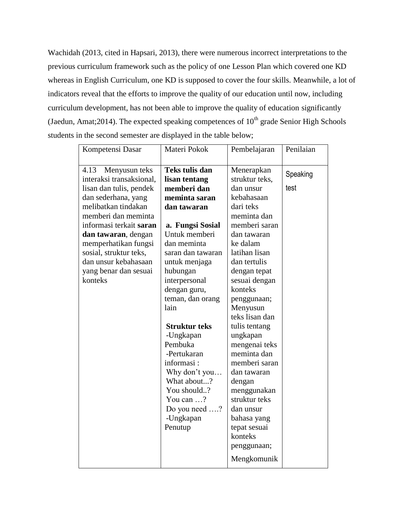Wachidah (2013, cited in Hapsari, 2013), there were numerous incorrect interpretations to the previous curriculum framework such as the policy of one Lesson Plan which covered one KD whereas in English Curriculum, one KD is supposed to cover the four skills. Meanwhile, a lot of indicators reveal that the efforts to improve the quality of our education until now, including curriculum development, has not been able to improve the quality of education significantly (Jaedun, Amat; 2014). The expected speaking competences of  $10<sup>th</sup>$  grade Senior High Schools students in the second semester are displayed in the table below;

| Penilaian<br>Pembelajaran                                                                                                                                                                                                                                                                                                                                                                                                                        | Materi Pokok                                                                                                                                                                                                                                                                                                                                                                                                                              | Kompetensi Dasar                                                                                                                                                                                                                                                                                 |
|--------------------------------------------------------------------------------------------------------------------------------------------------------------------------------------------------------------------------------------------------------------------------------------------------------------------------------------------------------------------------------------------------------------------------------------------------|-------------------------------------------------------------------------------------------------------------------------------------------------------------------------------------------------------------------------------------------------------------------------------------------------------------------------------------------------------------------------------------------------------------------------------------------|--------------------------------------------------------------------------------------------------------------------------------------------------------------------------------------------------------------------------------------------------------------------------------------------------|
| Menerapkan<br>Speaking<br>struktur teks,<br>test<br>dan unsur<br>kebahasaan<br>dari teks<br>meminta dan<br>memberi saran<br>dan tawaran<br>ke dalam<br>latihan lisan<br>dan tertulis<br>dengan tepat<br>sesuai dengan<br>konteks<br>penggunaan;<br>Menyusun<br>teks lisan dan<br>tulis tentang<br>ungkapan<br>mengenai teks<br>meminta dan<br>memberi saran<br>dan tawaran<br>dengan<br>menggunakan<br>struktur teks<br>dan unsur<br>bahasa yang | Teks tulis dan<br>Menyusun teks<br>lisan tentang<br>memberi dan<br>meminta saran<br>dan tawaran<br>a. Fungsi Sosial<br>Untuk memberi<br>dan meminta<br>saran dan tawaran<br>untuk menjaga<br>hubungan<br>interpersonal<br>dengan guru,<br>teman, dan orang<br>lain<br><b>Struktur teks</b><br>-Ungkapan<br>Pembuka<br>-Pertukaran<br>informasi:<br>Why don't you<br>What about?<br>You should?<br>You can ?<br>Do you need ?<br>-Ungkapan | 4.13<br>interaksi transaksional,<br>lisan dan tulis, pendek<br>dan sederhana, yang<br>melibatkan tindakan<br>memberi dan meminta<br>informasi terkait saran<br>dan tawaran, dengan<br>memperhatikan fungsi<br>sosial, struktur teks,<br>dan unsur kebahasaan<br>yang benar dan sesuai<br>konteks |
| tepat sesuai<br>konteks<br>penggunaan;<br>Mengkomunik                                                                                                                                                                                                                                                                                                                                                                                            | Penutup                                                                                                                                                                                                                                                                                                                                                                                                                                   |                                                                                                                                                                                                                                                                                                  |
|                                                                                                                                                                                                                                                                                                                                                                                                                                                  |                                                                                                                                                                                                                                                                                                                                                                                                                                           |                                                                                                                                                                                                                                                                                                  |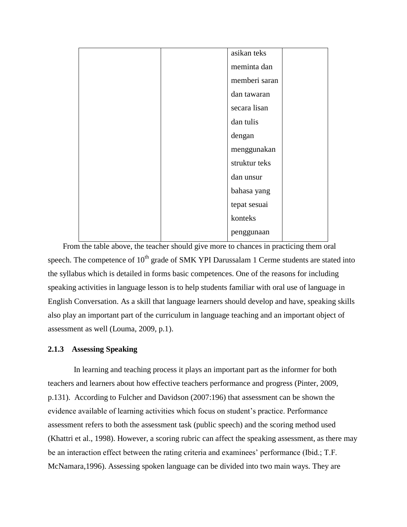|  | asikan teks   |  |
|--|---------------|--|
|  | meminta dan   |  |
|  | memberi saran |  |
|  | dan tawaran   |  |
|  | secara lisan  |  |
|  | dan tulis     |  |
|  | dengan        |  |
|  | menggunakan   |  |
|  | struktur teks |  |
|  | dan unsur     |  |
|  | bahasa yang   |  |
|  | tepat sesuai  |  |
|  | konteks       |  |
|  | penggunaan    |  |

From the table above, the teacher should give more to chances in practicing them oral speech. The competence of  $10<sup>th</sup>$  grade of SMK YPI Darussalam 1 Cerme students are stated into the syllabus which is detailed in forms basic competences. One of the reasons for including speaking activities in language lesson is to help students familiar with oral use of language in English Conversation. As a skill that language learners should develop and have, speaking skills also play an important part of the curriculum in language teaching and an important object of assessment as well (Louma, 2009, p.1).

# **2.1.3 Assessing Speaking**

In learning and teaching process it plays an important part as the informer for both teachers and learners about how effective teachers performance and progress (Pinter, 2009, p.131). According to Fulcher and Davidson (2007:196) that assessment can be shown the evidence available of learning activities which focus on student's practice. Performance assessment refers to both the assessment task (public speech) and the scoring method used (Khattri et al., 1998). However, a scoring rubric can affect the speaking assessment, as there may be an interaction effect between the rating criteria and examinees' performance (Ibid.; T.F. McNamara,1996). Assessing spoken language can be divided into two main ways. They are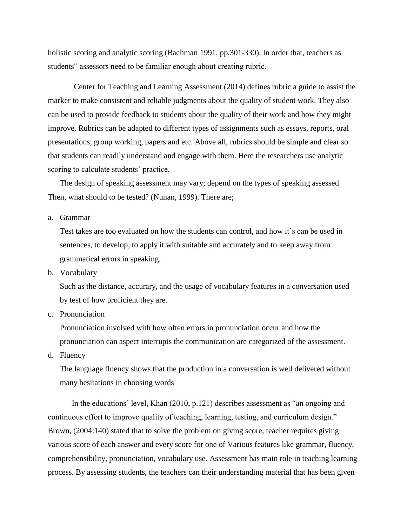holistic scoring and analytic scoring (Bachman 1991, pp.301-330). In order that, teachers as students" assessors need to be familiar enough about creating rubric.

Center for Teaching and Learning Assessment (2014) defines rubric a guide to assist the marker to make consistent and reliable judgments about the quality of student work. They also can be used to provide feedback to students about the quality of their work and how they might improve. Rubrics can be adapted to different types of assignments such as essays, reports, oral presentations, group working, papers and etc. Above all, rubrics should be simple and clear so that students can readily understand and engage with them. Here the researchers use analytic scoring to calculate students' practice.

The design of speaking assessment may vary; depend on the types of speaking assessed. Then, what should to be tested? (Nunan, 1999). There are;

# a. Grammar

Test takes are too evaluated on how the students can control, and how it's can be used in sentences, to develop, to apply it with suitable and accurately and to keep away from grammatical errors in speaking.

b. Vocabulary

Such as the distance, accurary, and the usage of vocabulary features in a conversation used by test of how proficient they are.

c. Pronunciation

Pronunciation involved with how often errors in pronunciation occur and how the pronunciation can aspect interrupts the communication are categorized of the assessment.

d. Fluency

The language fluency shows that the production in a conversation is well delivered without many hesitations in choosing words

In the educations' level, Khan (2010, p.121) describes assessment as "an ongoing and continuous effort to improve quality of teaching, learning, testing, and curriculum design." Brown, (2004:140) stated that to solve the problem on giving score, teacher requires giving various score of each answer and every score for one of Various features like grammar, fluency, comprehensibility, pronunciation, vocabulary use. Assessment has main role in teaching learning process. By assessing students, the teachers can their understanding material that has been given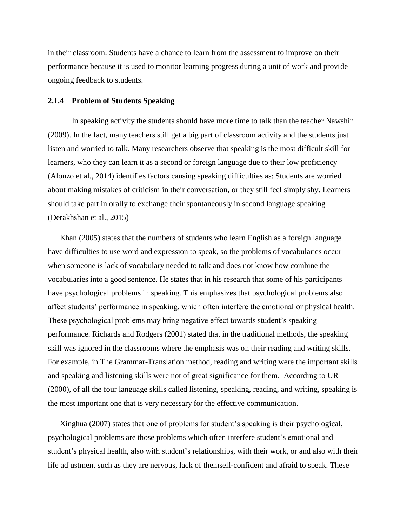in their classroom. Students have a chance to learn from the assessment to improve on their performance because it is used to monitor learning progress during a unit of work and provide ongoing feedback to students.

## **2.1.4 Problem of Students Speaking**

In speaking activity the students should have more time to talk than the teacher Nawshin (2009). In the fact, many teachers still get a big part of classroom activity and the students just listen and worried to talk. Many researchers observe that speaking is the most difficult skill for learners, who they can learn it as a second or foreign language due to their low proficiency (Alonzo et al., 2014) identifies factors causing speaking difficulties as: Students are worried about making mistakes of criticism in their conversation, or they still feel simply shy. Learners should take part in orally to exchange their spontaneously in second language speaking (Derakhshan et al., 2015)

Khan (2005) states that the numbers of students who learn English as a foreign language have difficulties to use word and expression to speak, so the problems of vocabularies occur when someone is lack of vocabulary needed to talk and does not know how combine the vocabularies into a good sentence. He states that in his research that some of his participants have psychological problems in speaking. This emphasizes that psychological problems also affect students' performance in speaking, which often interfere the emotional or physical health. These psychological problems may bring negative effect towards student's speaking performance. Richards and Rodgers (2001) stated that in the traditional methods, the speaking skill was ignored in the classrooms where the emphasis was on their reading and writing skills. For example, in The Grammar-Translation method, reading and writing were the important skills and speaking and listening skills were not of great significance for them. According to UR (2000), of all the four language skills called listening, speaking, reading, and writing, speaking is the most important one that is very necessary for the effective communication.

Xinghua (2007) states that one of problems for student's speaking is their psychological, psychological problems are those problems which often interfere student's emotional and student's physical health, also with student's relationships, with their work, or and also with their life adjustment such as they are nervous, lack of themself-confident and afraid to speak. These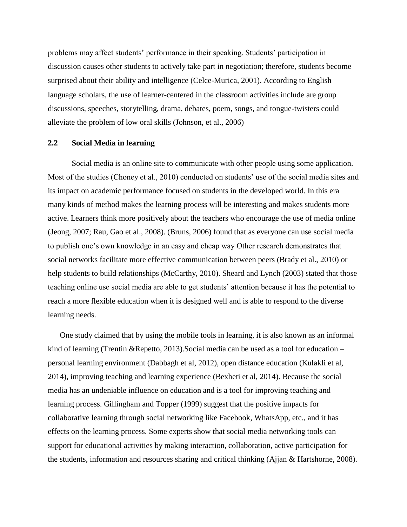problems may affect students' performance in their speaking. Students' participation in discussion causes other students to actively take part in negotiation; therefore, students become surprised about their ability and intelligence (Celce-Murica, 2001). According to English language scholars, the use of learner-centered in the classroom activities include are group discussions, speeches, storytelling, drama, debates, poem, songs, and tongue-twisters could alleviate the problem of low oral skills (Johnson, et al., 2006)

# **2.2 Social Media in learning**

Social media is an online site to communicate with other people using some application. Most of the studies (Choney et al., 2010) conducted on students' use of the social media sites and its impact on academic performance focused on students in the developed world. In this era many kinds of method makes the learning process will be interesting and makes students more active. Learners think more positively about the teachers who encourage the use of media online (Jeong, 2007; Rau, Gao et al., 2008). (Bruns, 2006) found that as everyone can use social media to publish one's own knowledge in an easy and cheap way Other research demonstrates that social networks facilitate more effective communication between peers (Brady et al., 2010) or help students to build relationships (McCarthy, 2010). Sheard and Lynch (2003) stated that those teaching online use social media are able to get students' attention because it has the potential to reach a more flexible education when it is designed well and is able to respond to the diverse learning needs.

One study claimed that by using the mobile tools in learning, it is also known as an informal kind of learning (Trentin &Repetto, 2013). Social media can be used as a tool for education – personal learning environment (Dabbagh et al, 2012), open distance education (Kulakli et al, 2014), improving teaching and learning experience (Bexheti et al, 2014). Because the social media has an undeniable influence on education and is a tool for improving teaching and learning process. Gillingham and Topper (1999) suggest that the positive impacts for collaborative learning through social networking like Facebook, WhatsApp, etc., and it has effects on the learning process. Some experts show that social media networking tools can support for educational activities by making interaction, collaboration, active participation for the students, information and resources sharing and critical thinking (Ajjan & Hartshorne, 2008).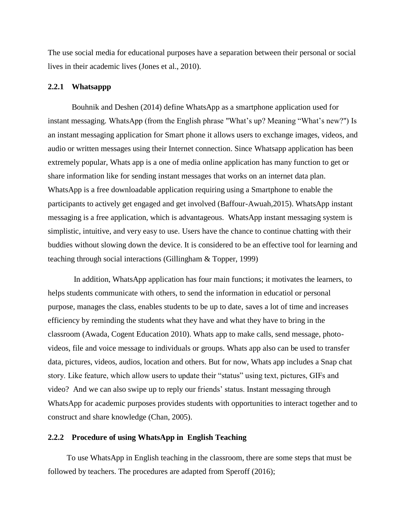The use social media for educational purposes have a separation between their personal or social lives in their academic lives (Jones et al., 2010).

#### **2.2.1 Whatsappp**

Bouhnik and Deshen (2014) define WhatsApp as a smartphone application used for instant messaging. WhatsApp (from the English phrase "What's up? Meaning "What's new?") Is an instant messaging application for Smart phone it allows users to exchange images, videos, and audio or written messages using their Internet connection. Since Whatsapp application has been extremely popular, Whats app is a one of media online application has many function to get or share information like for sending instant messages that works on an internet data plan. WhatsApp is a free downloadable application requiring using a Smartphone to enable the participants to actively get engaged and get involved (Baffour-Awuah,2015). WhatsApp instant messaging is a free application, which is advantageous. WhatsApp instant messaging system is simplistic, intuitive, and very easy to use. Users have the chance to continue chatting with their buddies without slowing down the device. It is considered to be an effective tool for learning and teaching through social interactions (Gillingham & Topper, 1999)

In addition, WhatsApp application has four main functions; it motivates the learners, to helps students communicate with others, to send the information in educatiol or personal purpose, manages the class, enables students to be up to date, saves a lot of time and increases efficiency by reminding the students what they have and what they have to bring in the classroom (Awada, Cogent Education 2010). Whats app to make calls, send message, photovideos, file and voice message to individuals or groups. Whats app also can be used to transfer data, pictures, videos, audios, location and others. But for now, Whats app includes a Snap chat story. Like feature, which allow users to update their "status" using text, pictures, GIFs and video? And we can also swipe up to reply our friends' status. Instant messaging through WhatsApp for academic purposes provides students with opportunities to interact together and to construct and share knowledge (Chan, 2005).

## **2.2.2 Procedure of using WhatsApp in English Teaching**

To use WhatsApp in English teaching in the classroom, there are some steps that must be followed by teachers. The procedures are adapted from Speroff (2016);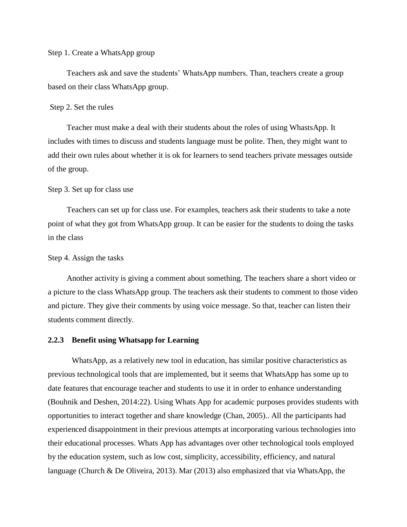#### Step 1. Create a WhatsApp group

Teachers ask and save the students' WhatsApp numbers. Than, teachers create a group based on their class WhatsApp group.

#### Step 2. Set the rules

Teacher must make a deal with their students about the roles of using WhastsApp. It includes with times to discuss and students language must be polite. Then, they might want to add their own rules about whether it is ok for learners to send teachers private messages outside of the group.

#### Step 3. Set up for class use

Teachers can set up for class use. For examples, teachers ask their students to take a note point of what they got from WhatsApp group. It can be easier for the students to doing the tasks in the class

#### Step 4. Assign the tasks

Another activity is giving a comment about something. The teachers share a short video or a picture to the class WhatsApp group. The teachers ask their students to comment to those video and picture. They give their comments by using voice message. So that, teacher can listen their students comment directly.

# **2.2.3 Benefit using Whatsapp for Learning**

WhatsApp, as a relatively new tool in education, has similar positive characteristics as previous technological tools that are implemented, but it seems that WhatsApp has some up to date features that encourage teacher and students to use it in order to enhance understanding (Bouhnik and Deshen, 2014:22). Using Whats App for academic purposes provides students with opportunities to interact together and share knowledge (Chan, 2005).. All the participants had experienced disappointment in their previous attempts at incorporating various technologies into their educational processes. Whats App has advantages over other technological tools employed by the education system, such as low cost, simplicity, accessibility, efficiency, and natural language (Church & De Oliveira, 2013). Mar (2013) also emphasized that via WhatsApp, the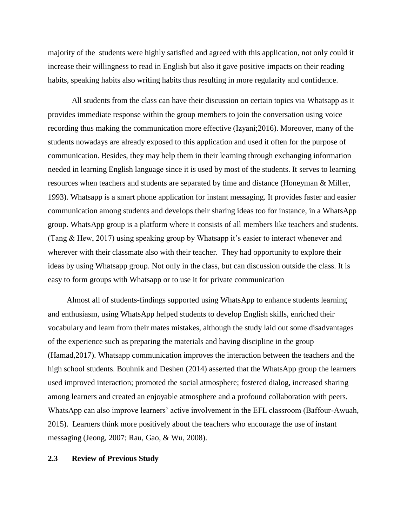majority of the students were highly satisfied and agreed with this application, not only could it increase their willingness to read in English but also it gave positive impacts on their reading habits, speaking habits also writing habits thus resulting in more regularity and confidence.

All students from the class can have their discussion on certain topics via Whatsapp as it provides immediate response within the group members to join the conversation using voice recording thus making the communication more effective (Izyani;2016). Moreover, many of the students nowadays are already exposed to this application and used it often for the purpose of communication. Besides, they may help them in their learning through exchanging information needed in learning English language since it is used by most of the students. It serves to learning resources when teachers and students are separated by time and distance (Honeyman & Miller, 1993). Whatsapp is a smart phone application for instant messaging. It provides faster and easier communication among students and develops their sharing ideas too for instance, in a WhatsApp group. WhatsApp group is a platform where it consists of all members like teachers and students. (Tang & Hew, 2017) using speaking group by Whatsapp it's easier to interact whenever and wherever with their classmate also with their teacher. They had opportunity to explore their ideas by using Whatsapp group. Not only in the class, but can discussion outside the class. It is easy to form groups with Whatsapp or to use it for private communication

Almost all of students-findings supported using WhatsApp to enhance students learning and enthusiasm, using WhatsApp helped students to develop English skills, enriched their vocabulary and learn from their mates mistakes, although the study laid out some disadvantages of the experience such as preparing the materials and having discipline in the group (Hamad,2017). Whatsapp communication improves the interaction between the teachers and the high school students. Bouhnik and Deshen (2014) asserted that the WhatsApp group the learners used improved interaction; promoted the social atmosphere; fostered dialog, increased sharing among learners and created an enjoyable atmosphere and a profound collaboration with peers. WhatsApp can also improve learners' active involvement in the EFL classroom (Baffour-Awuah, 2015). Learners think more positively about the teachers who encourage the use of instant messaging (Jeong, 2007; Rau, Gao, & Wu, 2008).

## **2.3 Review of Previous Study**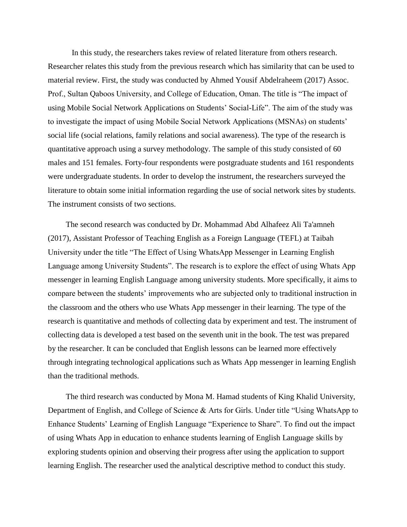In this study, the researchers takes review of related literature from others research. Researcher relates this study from the previous research which has similarity that can be used to material review. First, the study was conducted by Ahmed Yousif Abdelraheem (2017) Assoc. Prof., Sultan Qaboos University, and College of Education, Oman. The title is "The impact of using Mobile Social Network Applications on Students' Social-Life". The aim of the study was to investigate the impact of using Mobile Social Network Applications (MSNAs) on students' social life (social relations, family relations and social awareness). The type of the research is quantitative approach using a survey methodology. The sample of this study consisted of 60 males and 151 females. Forty-four respondents were postgraduate students and 161 respondents were undergraduate students. In order to develop the instrument, the researchers surveyed the literature to obtain some initial information regarding the use of social network sites by students. The instrument consists of two sections.

The second research was conducted by Dr. Mohammad Abd Alhafeez Ali Ta'amneh (2017), Assistant Professor of Teaching English as a Foreign Language (TEFL) at Taibah University under the title "The Effect of Using WhatsApp Messenger in Learning English Language among University Students". The research is to explore the effect of using Whats App messenger in learning English Language among university students. More specifically, it aims to compare between the students' improvements who are subjected only to traditional instruction in the classroom and the others who use Whats App messenger in their learning. The type of the research is quantitative and methods of collecting data by experiment and test. The instrument of collecting data is developed a test based on the seventh unit in the book. The test was prepared by the researcher. It can be concluded that English lessons can be learned more effectively through integrating technological applications such as Whats App messenger in learning English than the traditional methods.

The third research was conducted by Mona M. Hamad students of King Khalid University, Department of English, and College of Science & Arts for Girls. Under title "Using WhatsApp to Enhance Students' Learning of English Language "Experience to Share". To find out the impact of using Whats App in education to enhance students learning of English Language skills by exploring students opinion and observing their progress after using the application to support learning English. The researcher used the analytical descriptive method to conduct this study.